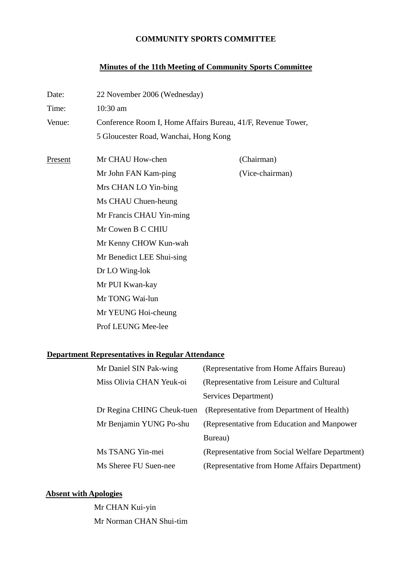## **COMMUNITY SPORTS COMMITTEE**

## **Minutes of the 11th Meeting of Community Sports Committee**

| Date:   | 22 November 2006 (Wednesday)                                 |                 |  |
|---------|--------------------------------------------------------------|-----------------|--|
| Time:   | 10:30 am                                                     |                 |  |
| Venue:  | Conference Room I, Home Affairs Bureau, 41/F, Revenue Tower, |                 |  |
|         | 5 Gloucester Road, Wanchai, Hong Kong                        |                 |  |
| Present | Mr CHAU How-chen                                             | (Chairman)      |  |
|         | Mr John FAN Kam-ping                                         | (Vice-chairman) |  |
|         | Mrs CHAN LO Yin-bing                                         |                 |  |
|         | Ms CHAU Chuen-heung<br>Mr Francis CHAU Yin-ming              |                 |  |
|         |                                                              |                 |  |
|         | Mr Kenny CHOW Kun-wah                                        |                 |  |
|         | Mr Benedict LEE Shui-sing                                    |                 |  |
|         | Dr LO Wing-lok<br>Mr PUI Kwan-kay                            |                 |  |
|         |                                                              |                 |  |
|         | Mr YEUNG Hoi-cheung                                          |                 |  |
|         | Prof LEUNG Mee-lee                                           |                 |  |

# **Department Representatives in Regular Attendance**

| Mr Daniel SIN Pak-wing     | (Representative from Home Affairs Bureau)       |
|----------------------------|-------------------------------------------------|
| Miss Olivia CHAN Yeuk-oi   | (Representative from Leisure and Cultural)      |
|                            | Services Department)                            |
| Dr Regina CHING Cheuk-tuen | (Representative from Department of Health)      |
| Mr Benjamin YUNG Po-shu    | (Representative from Education and Manpower)    |
|                            | Bureau)                                         |
| Ms TSANG Yin-mei           | (Representative from Social Welfare Department) |
| Ms Sheree FU Suen-nee      | (Representative from Home Affairs Department)   |

# **Absent with Apologies**

Mr CHAN Kui-yin Mr Norman CHAN Shui-tim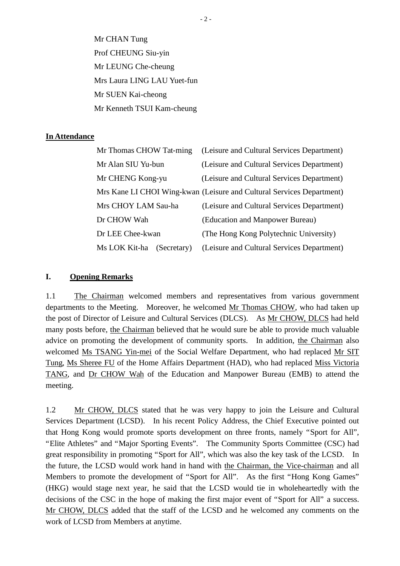Mr CHAN Tung Prof CHEUNG Siu-yin Mr LEUNG Che-cheung Mrs Laura LING LAU Yuet-fun Mr SUEN Kai-cheong Mr Kenneth TSUI Kam-cheung

#### **In Attendance**

| Mr Thomas CHOW Tat-ming      | (Leisure and Cultural Services Department)                            |
|------------------------------|-----------------------------------------------------------------------|
| Mr Alan SIU Yu-bun           | (Leisure and Cultural Services Department)                            |
| Mr CHENG Kong-yu             | (Leisure and Cultural Services Department)                            |
|                              | Mrs Kane LI CHOI Wing-kwan (Leisure and Cultural Services Department) |
| Mrs CHOY LAM Sau-ha          | (Leisure and Cultural Services Department)                            |
| Dr CHOW Wah                  | (Education and Manpower Bureau)                                       |
| Dr LEE Chee-kwan             | (The Hong Kong Polytechnic University)                                |
| Ms LOK Kit-ha<br>(Secretary) | (Leisure and Cultural Services Department)                            |

#### **I. Opening Remarks**

1.1 The Chairman welcomed members and representatives from various government departments to the Meeting. Moreover, he welcomed Mr Thomas CHOW, who had taken up the post of Director of Leisure and Cultural Services (DLCS). As Mr CHOW, DLCS had held many posts before, the Chairman believed that he would sure be able to provide much valuable advice on promoting the development of community sports. In addition, the Chairman also welcomed Ms TSANG Yin-mei of the Social Welfare Department, who had replaced Mr SIT Tung, Ms Sheree FU of the Home Affairs Department (HAD), who had replaced Miss Victoria TANG, and Dr CHOW Wah of the Education and Manpower Bureau (EMB) to attend the meeting.

1.2 Mr CHOW, DLCS stated that he was very happy to join the Leisure and Cultural Services Department (LCSD). In his recent Policy Address, the Chief Executive pointed out that Hong Kong would promote sports development on three fronts, namely "Sport for All", "Elite Athletes" and "Major Sporting Events". The Community Sports Committee (CSC) had great responsibility in promoting "Sport for All", which was also the key task of the LCSD. In the future, the LCSD would work hand in hand with the Chairman, the Vice-chairman and all Members to promote the development of "Sport for All". As the first "Hong Kong Games" (HKG) would stage next year, he said that the LCSD would tie in wholeheartedly with the decisions of the CSC in the hope of making the first major event of "Sport for All" a success. Mr CHOW, DLCS added that the staff of the LCSD and he welcomed any comments on the work of LCSD from Members at anytime.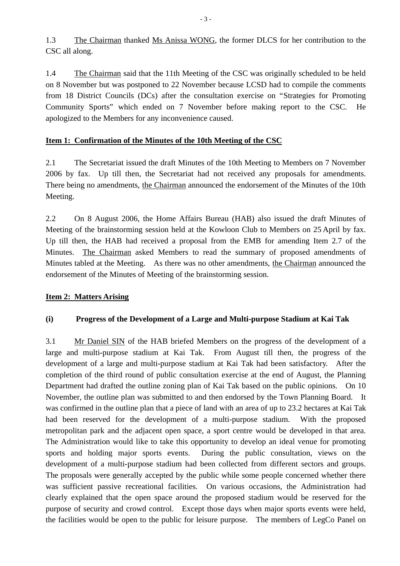1.3 The Chairman thanked Ms Anissa WONG, the former DLCS for her contribution to the CSC all along.

1.4 The Chairman said that the 11th Meeting of the CSC was originally scheduled to be held on 8 November but was postponed to 22 November because LCSD had to compile the comments from 18 District Councils (DCs) after the consultation exercise on "Strategies for Promoting Community Sports" which ended on 7 November before making report to the CSC. He apologized to the Members for any inconvenience caused.

## **Item 1: Confirmation of the Minutes of the 10th Meeting of the CSC**

2.1 The Secretariat issued the draft Minutes of the 10th Meeting to Members on 7 November 2006 by fax. Up till then, the Secretariat had not received any proposals for amendments. There being no amendments, the Chairman announced the endorsement of the Minutes of the 10th Meeting.

2.2 On 8 August 2006, the Home Affairs Bureau (HAB) also issued the draft Minutes of Meeting of the brainstorming session held at the Kowloon Club to Members on 25 April by fax. Up till then, the HAB had received a proposal from the EMB for amending Item 2.7 of the Minutes. The Chairman asked Members to read the summary of proposed amendments of Minutes tabled at the Meeting. As there was no other amendments, the Chairman announced the endorsement of the Minutes of Meeting of the brainstorming session.

## **Item 2: Matters Arising**

## **(i) Progress of the Development of a Large and Multi-purpose Stadium at Kai Tak**

3.1 Mr Daniel SIN of the HAB briefed Members on the progress of the development of a large and multi-purpose stadium at Kai Tak. From August till then, the progress of the development of a large and multi-purpose stadium at Kai Tak had been satisfactory. After the completion of the third round of public consultation exercise at the end of August, the Planning Department had drafted the outline zoning plan of Kai Tak based on the public opinions. On 10 November, the outline plan was submitted to and then endorsed by the Town Planning Board. It was confirmed in the outline plan that a piece of land with an area of up to 23.2 hectares at Kai Tak had been reserved for the development of a multi-purpose stadium. With the proposed metropolitan park and the adjacent open space, a sport centre would be developed in that area. The Administration would like to take this opportunity to develop an ideal venue for promoting sports and holding major sports events. During the public consultation, views on the development of a multi-purpose stadium had been collected from different sectors and groups. The proposals were generally accepted by the public while some people concerned whether there was sufficient passive recreational facilities. On various occasions, the Administration had clearly explained that the open space around the proposed stadium would be reserved for the purpose of security and crowd control. Except those days when major sports events were held, the facilities would be open to the public for leisure purpose. The members of LegCo Panel on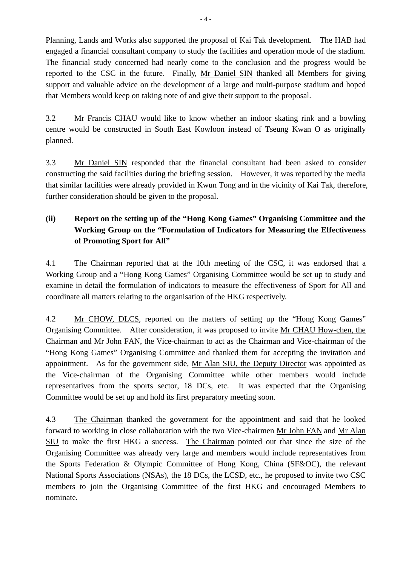Planning, Lands and Works also supported the proposal of Kai Tak development. The HAB had engaged a financial consultant company to study the facilities and operation mode of the stadium. The financial study concerned had nearly come to the conclusion and the progress would be reported to the CSC in the future. Finally, Mr Daniel SIN thanked all Members for giving support and valuable advice on the development of a large and multi-purpose stadium and hoped that Members would keep on taking note of and give their support to the proposal.

3.2 Mr Francis CHAU would like to know whether an indoor skating rink and a bowling centre would be constructed in South East Kowloon instead of Tseung Kwan O as originally planned.

3.3 Mr Daniel SIN responded that the financial consultant had been asked to consider constructing the said facilities during the briefing session. However, it was reported by the media that similar facilities were already provided in Kwun Tong and in the vicinity of Kai Tak, therefore, further consideration should be given to the proposal.

# **(ii) Report on the setting up of the "Hong Kong Games" Organising Committee and the Working Group on the "Formulation of Indicators for Measuring the Effectiveness of Promoting Sport for All"**

4.1 The Chairman reported that at the 10th meeting of the CSC, it was endorsed that a Working Group and a "Hong Kong Games" Organising Committee would be set up to study and examine in detail the formulation of indicators to measure the effectiveness of Sport for All and coordinate all matters relating to the organisation of the HKG respectively.

4.2 Mr CHOW, DLCS, reported on the matters of setting up the "Hong Kong Games" Organising Committee. After consideration, it was proposed to invite Mr CHAU How-chen, the Chairman and Mr John FAN, the Vice-chairman to act as the Chairman and Vice-chairman of the "Hong Kong Games" Organising Committee and thanked them for accepting the invitation and appointment. As for the government side, Mr Alan SIU, the Deputy Director was appointed as the Vice-chairman of the Organising Committee while other members would include representatives from the sports sector, 18 DCs, etc. It was expected that the Organising Committee would be set up and hold its first preparatory meeting soon.

4.3 The Chairman thanked the government for the appointment and said that he looked forward to working in close collaboration with the two Vice-chairmen Mr John FAN and Mr Alan SIU to make the first HKG a success. The Chairman pointed out that since the size of the Organising Committee was already very large and members would include representatives from the Sports Federation & Olympic Committee of Hong Kong, China (SF&OC), the relevant National Sports Associations (NSAs), the 18 DCs, the LCSD, etc., he proposed to invite two CSC members to join the Organising Committee of the first HKG and encouraged Members to nominate.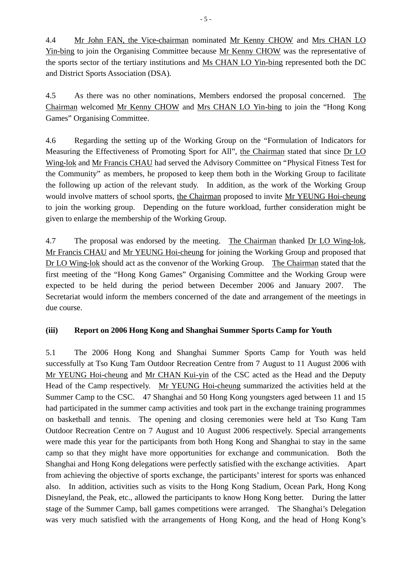4.4 Mr John FAN, the Vice-chairman nominated Mr Kenny CHOW and Mrs CHAN LO Yin-bing to join the Organising Committee because Mr Kenny CHOW was the representative of the sports sector of the tertiary institutions and Ms CHAN LO Yin-bing represented both the DC and District Sports Association (DSA).

4.5 As there was no other nominations, Members endorsed the proposal concerned. The Chairman welcomed Mr Kenny CHOW and Mrs CHAN LO Yin-bing to join the "Hong Kong Games" Organising Committee.

4.6 Regarding the setting up of the Working Group on the "Formulation of Indicators for Measuring the Effectiveness of Promoting Sport for All", the Chairman stated that since Dr LO Wing-lok and Mr Francis CHAU had served the Advisory Committee on "Physical Fitness Test for the Community" as members, he proposed to keep them both in the Working Group to facilitate the following up action of the relevant study. In addition, as the work of the Working Group would involve matters of school sports, the Chairman proposed to invite Mr YEUNG Hoi-cheung to join the working group. Depending on the future workload, further consideration might be given to enlarge the membership of the Working Group.

4.7 The proposal was endorsed by the meeting. The Chairman thanked Dr LO Wing-lok, Mr Francis CHAU and Mr YEUNG Hoi-cheung for joining the Working Group and proposed that Dr LO Wing-lok should act as the convenor of the Working Group. The Chairman stated that the first meeting of the "Hong Kong Games" Organising Committee and the Working Group were expected to be held during the period between December 2006 and January 2007. The Secretariat would inform the members concerned of the date and arrangement of the meetings in due course.

## **(iii) Report on 2006 Hong Kong and Shanghai Summer Sports Camp for Youth**

5.1 The 2006 Hong Kong and Shanghai Summer Sports Camp for Youth was held successfully at Tso Kung Tam Outdoor Recreation Centre from 7 August to 11 August 2006 with Mr YEUNG Hoi-cheung and Mr CHAN Kui-yin of the CSC acted as the Head and the Deputy Head of the Camp respectively. Mr YEUNG Hoi-cheung summarized the activities held at the Summer Camp to the CSC. 47 Shanghai and 50 Hong Kong youngsters aged between 11 and 15 had participated in the summer camp activities and took part in the exchange training programmes on basketball and tennis. The opening and closing ceremonies were held at Tso Kung Tam Outdoor Recreation Centre on 7 August and 10 August 2006 respectively. Special arrangements were made this year for the participants from both Hong Kong and Shanghai to stay in the same camp so that they might have more opportunities for exchange and communication. Both the Shanghai and Hong Kong delegations were perfectly satisfied with the exchange activities. Apart from achieving the objective of sports exchange, the participants' interest for sports was enhanced also. In addition, activities such as visits to the Hong Kong Stadium, Ocean Park, Hong Kong Disneyland, the Peak, etc., allowed the participants to know Hong Kong better. During the latter stage of the Summer Camp, ball games competitions were arranged. The Shanghai's Delegation was very much satisfied with the arrangements of Hong Kong, and the head of Hong Kong's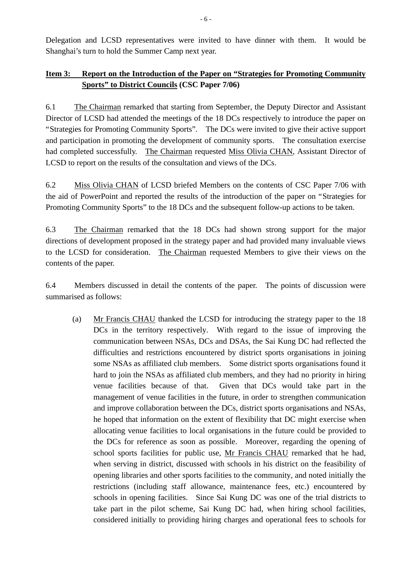Delegation and LCSD representatives were invited to have dinner with them. It would be Shanghai's turn to hold the Summer Camp next year.

# **Item 3: Report on the Introduction of the Paper on "Strategies for Promoting Community Sports" to District Councils (CSC Paper 7/06)**

6.1 The Chairman remarked that starting from September, the Deputy Director and Assistant Director of LCSD had attended the meetings of the 18 DCs respectively to introduce the paper on "Strategies for Promoting Community Sports". The DCs were invited to give their active support and participation in promoting the development of community sports. The consultation exercise had completed successfully. The Chairman requested Miss Olivia CHAN, Assistant Director of LCSD to report on the results of the consultation and views of the DCs.

6.2 Miss Olivia CHAN of LCSD briefed Members on the contents of CSC Paper 7/06 with the aid of PowerPoint and reported the results of the introduction of the paper on "Strategies for Promoting Community Sports" to the 18 DCs and the subsequent follow-up actions to be taken.

6.3 The Chairman remarked that the 18 DCs had shown strong support for the major directions of development proposed in the strategy paper and had provided many invaluable views to the LCSD for consideration. The Chairman requested Members to give their views on the contents of the paper.

6.4 Members discussed in detail the contents of the paper. The points of discussion were summarised as follows:

(a) Mr Francis CHAU thanked the LCSD for introducing the strategy paper to the 18 DCs in the territory respectively. With regard to the issue of improving the communication between NSAs, DCs and DSAs, the Sai Kung DC had reflected the difficulties and restrictions encountered by district sports organisations in joining some NSAs as affiliated club members. Some district sports organisations found it hard to join the NSAs as affiliated club members, and they had no priority in hiring venue facilities because of that. Given that DCs would take part in the management of venue facilities in the future, in order to strengthen communication and improve collaboration between the DCs, district sports organisations and NSAs, he hoped that information on the extent of flexibility that DC might exercise when allocating venue facilities to local organisations in the future could be provided to the DCs for reference as soon as possible. Moreover, regarding the opening of school sports facilities for public use, Mr Francis CHAU remarked that he had, when serving in district, discussed with schools in his district on the feasibility of opening libraries and other sports facilities to the community, and noted initially the restrictions (including staff allowance, maintenance fees, etc.) encountered by schools in opening facilities. Since Sai Kung DC was one of the trial districts to take part in the pilot scheme, Sai Kung DC had, when hiring school facilities, considered initially to providing hiring charges and operational fees to schools for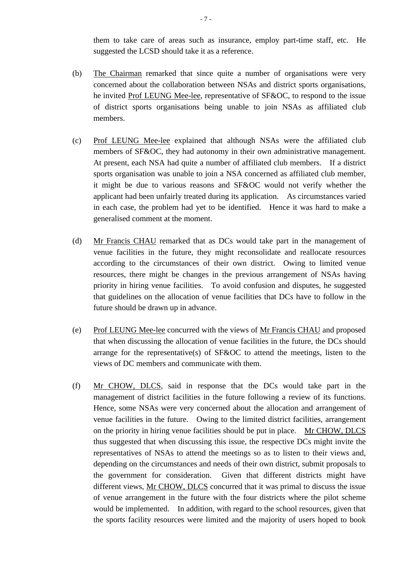them to take care of areas such as insurance, employ part-time staff, etc. He suggested the LCSD should take it as a reference.

- (b) The Chairman remarked that since quite a number of organisations were very concerned about the collaboration between NSAs and district sports organisations, he invited Prof LEUNG Mee-lee, representative of SF&OC, to respond to the issue of district sports organisations being unable to join NSAs as affiliated club members.
- (c) Prof LEUNG Mee-lee explained that although NSAs were the affiliated club members of SF&OC, they had autonomy in their own administrative management. At present, each NSA had quite a number of affiliated club members. If a district sports organisation was unable to join a NSA concerned as affiliated club member, it might be due to various reasons and SF&OC would not verify whether the applicant had been unfairly treated during its application. As circumstances varied in each case, the problem had yet to be identified. Hence it was hard to make a generalised comment at the moment.
- (d) Mr Francis CHAU remarked that as DCs would take part in the management of venue facilities in the future, they might reconsolidate and reallocate resources according to the circumstances of their own district. Owing to limited venue resources, there might be changes in the previous arrangement of NSAs having priority in hiring venue facilities. To avoid confusion and disputes, he suggested that guidelines on the allocation of venue facilities that DCs have to follow in the future should be drawn up in advance.
- (e) Prof LEUNG Mee-lee concurred with the views of Mr Francis CHAU and proposed that when discussing the allocation of venue facilities in the future, the DCs should arrange for the representative(s) of  $S$ F&OC to attend the meetings, listen to the views of DC members and communicate with them.
- (f) Mr CHOW, DLCS, said in response that the DCs would take part in the management of district facilities in the future following a review of its functions. Hence, some NSAs were very concerned about the allocation and arrangement of venue facilities in the future. Owing to the limited district facilities, arrangement on the priority in hiring venue facilities should be put in place. Mr CHOW, DLCS thus suggested that when discussing this issue, the respective DCs might invite the representatives of NSAs to attend the meetings so as to listen to their views and, depending on the circumstances and needs of their own district, submit proposals to the government for consideration. Given that different districts might have different views, Mr CHOW, DLCS concurred that it was primal to discuss the issue of venue arrangement in the future with the four districts where the pilot scheme would be implemented. In addition, with regard to the school resources, given that the sports facility resources were limited and the majority of users hoped to book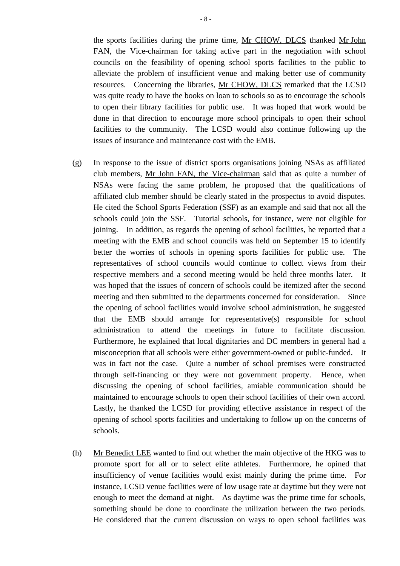the sports facilities during the prime time, Mr CHOW, DLCS thanked Mr John FAN, the Vice-chairman for taking active part in the negotiation with school councils on the feasibility of opening school sports facilities to the public to alleviate the problem of insufficient venue and making better use of community resources. Concerning the libraries, Mr CHOW, DLCS remarked that the LCSD was quite ready to have the books on loan to schools so as to encourage the schools to open their library facilities for public use. It was hoped that work would be done in that direction to encourage more school principals to open their school facilities to the community. The LCSD would also continue following up the issues of insurance and maintenance cost with the EMB.

- (g) In response to the issue of district sports organisations joining NSAs as affiliated club members, Mr John FAN, the Vice-chairman said that as quite a number of NSAs were facing the same problem, he proposed that the qualifications of affiliated club member should be clearly stated in the prospectus to avoid disputes. He cited the School Sports Federation (SSF) as an example and said that not all the schools could join the SSF. Tutorial schools, for instance, were not eligible for joining. In addition, as regards the opening of school facilities, he reported that a meeting with the EMB and school councils was held on September 15 to identify better the worries of schools in opening sports facilities for public use. The representatives of school councils would continue to collect views from their respective members and a second meeting would be held three months later. It was hoped that the issues of concern of schools could be itemized after the second meeting and then submitted to the departments concerned for consideration. Since the opening of school facilities would involve school administration, he suggested that the EMB should arrange for representative(s) responsible for school administration to attend the meetings in future to facilitate discussion. Furthermore, he explained that local dignitaries and DC members in general had a misconception that all schools were either government-owned or public-funded. It was in fact not the case. Quite a number of school premises were constructed through self-financing or they were not government property. Hence, when discussing the opening of school facilities, amiable communication should be maintained to encourage schools to open their school facilities of their own accord. Lastly, he thanked the LCSD for providing effective assistance in respect of the opening of school sports facilities and undertaking to follow up on the concerns of schools.
- (h) Mr Benedict LEE wanted to find out whether the main objective of the HKG was to promote sport for all or to select elite athletes. Furthermore, he opined that insufficiency of venue facilities would exist mainly during the prime time. For instance, LCSD venue facilities were of low usage rate at daytime but they were not enough to meet the demand at night. As daytime was the prime time for schools, something should be done to coordinate the utilization between the two periods. He considered that the current discussion on ways to open school facilities was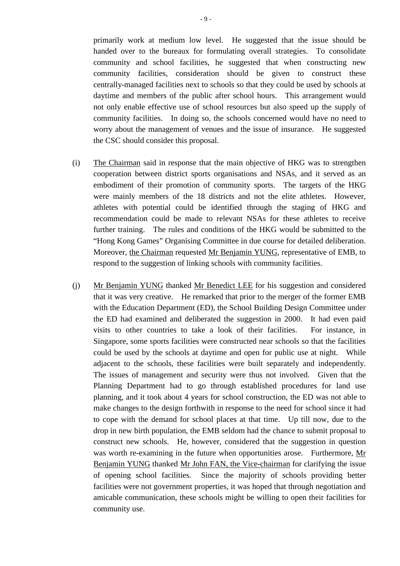primarily work at medium low level. He suggested that the issue should be handed over to the bureaux for formulating overall strategies. To consolidate community and school facilities, he suggested that when constructing new community facilities, consideration should be given to construct these centrally-managed facilities next to schools so that they could be used by schools at daytime and members of the public after school hours. This arrangement would not only enable effective use of school resources but also speed up the supply of community facilities. In doing so, the schools concerned would have no need to worry about the management of venues and the issue of insurance. He suggested the CSC should consider this proposal.

- (i) The Chairman said in response that the main objective of HKG was to strengthen cooperation between district sports organisations and NSAs, and it served as an embodiment of their promotion of community sports. The targets of the HKG were mainly members of the 18 districts and not the elite athletes. However, athletes with potential could be identified through the staging of HKG and recommendation could be made to relevant NSAs for these athletes to receive further training. The rules and conditions of the HKG would be submitted to the "Hong Kong Games" Organising Committee in due course for detailed deliberation. Moreover, the Chairman requested Mr Benjamin YUNG, representative of EMB, to respond to the suggestion of linking schools with community facilities.
- (j) Mr Benjamin YUNG thanked Mr Benedict LEE for his suggestion and considered that it was very creative. He remarked that prior to the merger of the former EMB with the Education Department (ED), the School Building Design Committee under the ED had examined and deliberated the suggestion in 2000. It had even paid visits to other countries to take a look of their facilities. For instance, in Singapore, some sports facilities were constructed near schools so that the facilities could be used by the schools at daytime and open for public use at night. While adjacent to the schools, these facilities were built separately and independently. The issues of management and security were thus not involved. Given that the Planning Department had to go through established procedures for land use planning, and it took about 4 years for school construction, the ED was not able to make changes to the design forthwith in response to the need for school since it had to cope with the demand for school places at that time. Up till now, due to the drop in new birth population, the EMB seldom had the chance to submit proposal to construct new schools. He, however, considered that the suggestion in question was worth re-examining in the future when opportunities arose. Furthermore, Mr Benjamin YUNG thanked Mr John FAN, the Vice-chairman for clarifying the issue of opening school facilities. Since the majority of schools providing better facilities were not government properties, it was hoped that through negotiation and amicable communication, these schools might be willing to open their facilities for community use.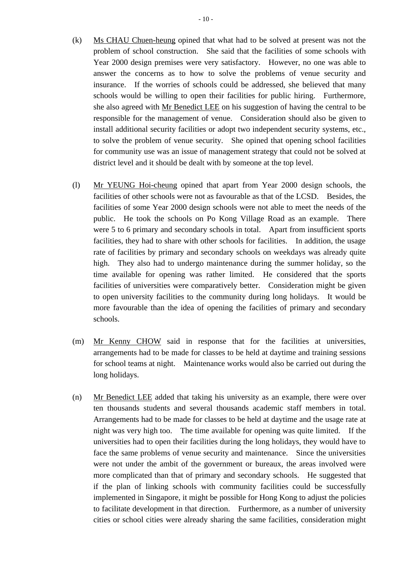- (k) Ms CHAU Chuen-heung opined that what had to be solved at present was not the problem of school construction. She said that the facilities of some schools with Year 2000 design premises were very satisfactory. However, no one was able to answer the concerns as to how to solve the problems of venue security and insurance. If the worries of schools could be addressed, she believed that many schools would be willing to open their facilities for public hiring. Furthermore, she also agreed with Mr Benedict LEE on his suggestion of having the central to be responsible for the management of venue. Consideration should also be given to install additional security facilities or adopt two independent security systems, etc., to solve the problem of venue security. She opined that opening school facilities for community use was an issue of management strategy that could not be solved at district level and it should be dealt with by someone at the top level.
- (l) Mr YEUNG Hoi-cheung opined that apart from Year 2000 design schools, the facilities of other schools were not as favourable as that of the LCSD. Besides, the facilities of some Year 2000 design schools were not able to meet the needs of the public. He took the schools on Po Kong Village Road as an example. There were 5 to 6 primary and secondary schools in total. Apart from insufficient sports facilities, they had to share with other schools for facilities. In addition, the usage rate of facilities by primary and secondary schools on weekdays was already quite high. They also had to undergo maintenance during the summer holiday, so the time available for opening was rather limited. He considered that the sports facilities of universities were comparatively better. Consideration might be given to open university facilities to the community during long holidays. It would be more favourable than the idea of opening the facilities of primary and secondary schools.
- (m) Mr Kenny CHOW said in response that for the facilities at universities, arrangements had to be made for classes to be held at daytime and training sessions for school teams at night. Maintenance works would also be carried out during the long holidays.
- (n) Mr Benedict LEE added that taking his university as an example, there were over ten thousands students and several thousands academic staff members in total. Arrangements had to be made for classes to be held at daytime and the usage rate at night was very high too. The time available for opening was quite limited. If the universities had to open their facilities during the long holidays, they would have to face the same problems of venue security and maintenance. Since the universities were not under the ambit of the government or bureaux, the areas involved were more complicated than that of primary and secondary schools. He suggested that if the plan of linking schools with community facilities could be successfully implemented in Singapore, it might be possible for Hong Kong to adjust the policies to facilitate development in that direction. Furthermore, as a number of university cities or school cities were already sharing the same facilities, consideration might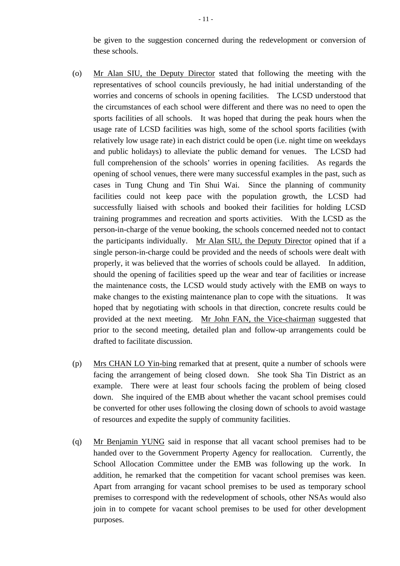be given to the suggestion concerned during the redevelopment or conversion of these schools.

- (o) Mr Alan SIU, the Deputy Director stated that following the meeting with the representatives of school councils previously, he had initial understanding of the worries and concerns of schools in opening facilities. The LCSD understood that the circumstances of each school were different and there was no need to open the sports facilities of all schools. It was hoped that during the peak hours when the usage rate of LCSD facilities was high, some of the school sports facilities (with relatively low usage rate) in each district could be open (i.e. night time on weekdays and public holidays) to alleviate the public demand for venues. The LCSD had full comprehension of the schools' worries in opening facilities. As regards the opening of school venues, there were many successful examples in the past, such as cases in Tung Chung and Tin Shui Wai. Since the planning of community facilities could not keep pace with the population growth, the LCSD had successfully liaised with schools and booked their facilities for holding LCSD training programmes and recreation and sports activities. With the LCSD as the person-in-charge of the venue booking, the schools concerned needed not to contact the participants individually. Mr Alan SIU, the Deputy Director opined that if a single person-in-charge could be provided and the needs of schools were dealt with properly, it was believed that the worries of schools could be allayed. In addition, should the opening of facilities speed up the wear and tear of facilities or increase the maintenance costs, the LCSD would study actively with the EMB on ways to make changes to the existing maintenance plan to cope with the situations. It was hoped that by negotiating with schools in that direction, concrete results could be provided at the next meeting. Mr John FAN, the Vice-chairman suggested that prior to the second meeting, detailed plan and follow-up arrangements could be drafted to facilitate discussion.
- (p) Mrs CHAN LO Yin-bing remarked that at present, quite a number of schools were facing the arrangement of being closed down. She took Sha Tin District as an example. There were at least four schools facing the problem of being closed down. She inquired of the EMB about whether the vacant school premises could be converted for other uses following the closing down of schools to avoid wastage of resources and expedite the supply of community facilities.
- (q) Mr Benjamin YUNG said in response that all vacant school premises had to be handed over to the Government Property Agency for reallocation. Currently, the School Allocation Committee under the EMB was following up the work. In addition, he remarked that the competition for vacant school premises was keen. Apart from arranging for vacant school premises to be used as temporary school premises to correspond with the redevelopment of schools, other NSAs would also join in to compete for vacant school premises to be used for other development purposes.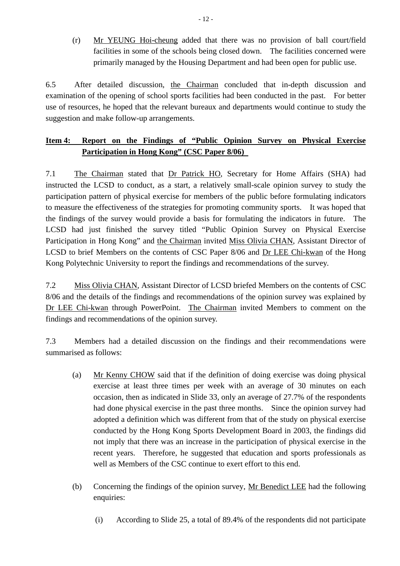(r) Mr YEUNG Hoi-cheung added that there was no provision of ball court/field facilities in some of the schools being closed down. The facilities concerned were primarily managed by the Housing Department and had been open for public use.

6.5 After detailed discussion, the Chairman concluded that in-depth discussion and examination of the opening of school sports facilities had been conducted in the past. For better use of resources, he hoped that the relevant bureaux and departments would continue to study the suggestion and make follow-up arrangements.

# **Item 4: Report on the Findings of "Public Opinion Survey on Physical Exercise Participation in Hong Kong" (CSC Paper 8/06)**

7.1 The Chairman stated that Dr Patrick HO, Secretary for Home Affairs (SHA) had instructed the LCSD to conduct, as a start, a relatively small-scale opinion survey to study the participation pattern of physical exercise for members of the public before formulating indicators to measure the effectiveness of the strategies for promoting community sports. It was hoped that the findings of the survey would provide a basis for formulating the indicators in future. The LCSD had just finished the survey titled "Public Opinion Survey on Physical Exercise Participation in Hong Kong" and the Chairman invited Miss Olivia CHAN, Assistant Director of LCSD to brief Members on the contents of CSC Paper 8/06 and Dr LEE Chi-kwan of the Hong Kong Polytechnic University to report the findings and recommendations of the survey.

7.2 Miss Olivia CHAN, Assistant Director of LCSD briefed Members on the contents of CSC 8/06 and the details of the findings and recommendations of the opinion survey was explained by Dr LEE Chi-kwan through PowerPoint. The Chairman invited Members to comment on the findings and recommendations of the opinion survey.

7.3 Members had a detailed discussion on the findings and their recommendations were summarised as follows:

- (a) Mr Kenny CHOW said that if the definition of doing exercise was doing physical exercise at least three times per week with an average of 30 minutes on each occasion, then as indicated in Slide 33, only an average of 27.7% of the respondents had done physical exercise in the past three months. Since the opinion survey had adopted a definition which was different from that of the study on physical exercise conducted by the Hong Kong Sports Development Board in 2003, the findings did not imply that there was an increase in the participation of physical exercise in the recent years. Therefore, he suggested that education and sports professionals as well as Members of the CSC continue to exert effort to this end.
- (b) Concerning the findings of the opinion survey, Mr Benedict LEE had the following enquiries:
	- (i) According to Slide 25, a total of 89.4% of the respondents did not participate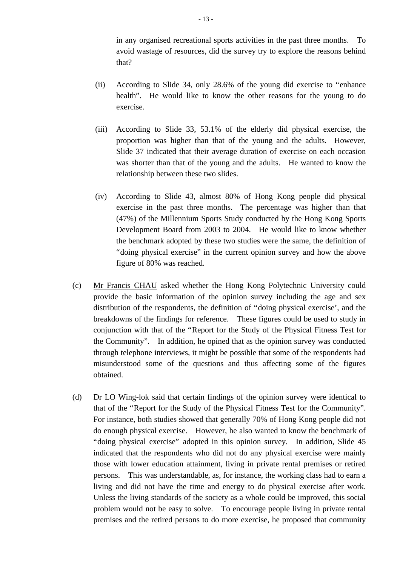in any organised recreational sports activities in the past three months. To avoid wastage of resources, did the survey try to explore the reasons behind that?

- (ii) According to Slide 34, only 28.6% of the young did exercise to "enhance health". He would like to know the other reasons for the young to do exercise.
- (iii) According to Slide 33, 53.1% of the elderly did physical exercise, the proportion was higher than that of the young and the adults. However, Slide 37 indicated that their average duration of exercise on each occasion was shorter than that of the young and the adults. He wanted to know the relationship between these two slides.
- (iv) According to Slide 43, almost 80% of Hong Kong people did physical exercise in the past three months. The percentage was higher than that (47%) of the Millennium Sports Study conducted by the Hong Kong Sports Development Board from 2003 to 2004. He would like to know whether the benchmark adopted by these two studies were the same, the definition of "doing physical exercise" in the current opinion survey and how the above figure of 80% was reached.
- (c) Mr Francis CHAU asked whether the Hong Kong Polytechnic University could provide the basic information of the opinion survey including the age and sex distribution of the respondents, the definition of "doing physical exercise', and the breakdowns of the findings for reference. These figures could be used to study in conjunction with that of the "Report for the Study of the Physical Fitness Test for the Community". In addition, he opined that as the opinion survey was conducted through telephone interviews, it might be possible that some of the respondents had misunderstood some of the questions and thus affecting some of the figures obtained.
- (d) Dr LO Wing-lok said that certain findings of the opinion survey were identical to that of the "Report for the Study of the Physical Fitness Test for the Community". For instance, both studies showed that generally 70% of Hong Kong people did not do enough physical exercise. However, he also wanted to know the benchmark of "doing physical exercise" adopted in this opinion survey. In addition, Slide 45 indicated that the respondents who did not do any physical exercise were mainly those with lower education attainment, living in private rental premises or retired persons. This was understandable, as, for instance, the working class had to earn a living and did not have the time and energy to do physical exercise after work. Unless the living standards of the society as a whole could be improved, this social problem would not be easy to solve. To encourage people living in private rental premises and the retired persons to do more exercise, he proposed that community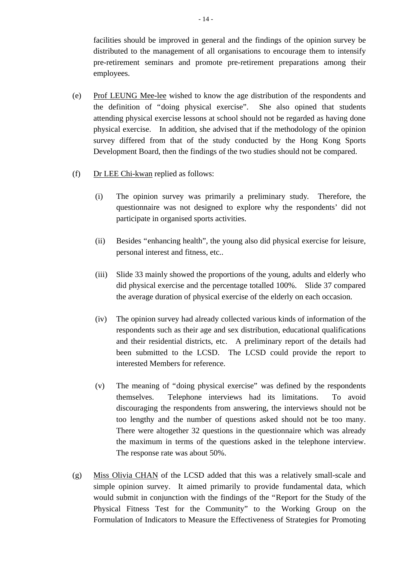facilities should be improved in general and the findings of the opinion survey be distributed to the management of all organisations to encourage them to intensify pre-retirement seminars and promote pre-retirement preparations among their employees.

- (e) Prof LEUNG Mee-lee wished to know the age distribution of the respondents and the definition of "doing physical exercise". She also opined that students attending physical exercise lessons at school should not be regarded as having done physical exercise. In addition, she advised that if the methodology of the opinion survey differed from that of the study conducted by the Hong Kong Sports Development Board, then the findings of the two studies should not be compared.
- (f) Dr LEE Chi-kwan replied as follows:
	- (i) The opinion survey was primarily a preliminary study. Therefore, the questionnaire was not designed to explore why the respondents' did not participate in organised sports activities.
	- (ii) Besides "enhancing health", the young also did physical exercise for leisure, personal interest and fitness, etc..
	- (iii) Slide 33 mainly showed the proportions of the young, adults and elderly who did physical exercise and the percentage totalled 100%. Slide 37 compared the average duration of physical exercise of the elderly on each occasion.
	- (iv) The opinion survey had already collected various kinds of information of the respondents such as their age and sex distribution, educational qualifications and their residential districts, etc. A preliminary report of the details had been submitted to the LCSD. The LCSD could provide the report to interested Members for reference.
	- (v) The meaning of "doing physical exercise" was defined by the respondents themselves. Telephone interviews had its limitations. To avoid discouraging the respondents from answering, the interviews should not be too lengthy and the number of questions asked should not be too many. There were altogether 32 questions in the questionnaire which was already the maximum in terms of the questions asked in the telephone interview. The response rate was about 50%.
- (g) Miss Olivia CHAN of the LCSD added that this was a relatively small-scale and simple opinion survey. It aimed primarily to provide fundamental data, which would submit in conjunction with the findings of the "Report for the Study of the Physical Fitness Test for the Community" to the Working Group on the Formulation of Indicators to Measure the Effectiveness of Strategies for Promoting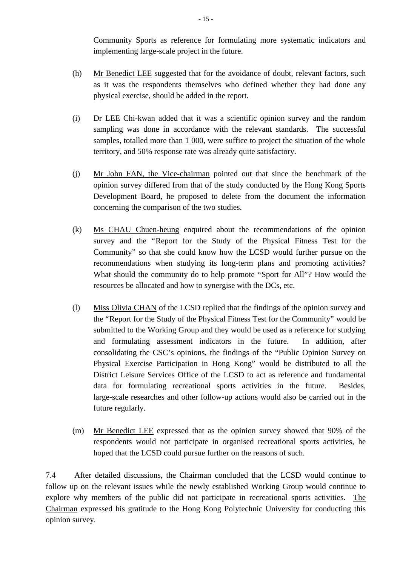Community Sports as reference for formulating more systematic indicators and implementing large-scale project in the future.

- (h) Mr Benedict LEE suggested that for the avoidance of doubt, relevant factors, such as it was the respondents themselves who defined whether they had done any physical exercise, should be added in the report.
- (i) Dr LEE Chi-kwan added that it was a scientific opinion survey and the random sampling was done in accordance with the relevant standards. The successful samples, totalled more than 1 000, were suffice to project the situation of the whole territory, and 50% response rate was already quite satisfactory.
- (j) Mr John FAN, the Vice-chairman pointed out that since the benchmark of the opinion survey differed from that of the study conducted by the Hong Kong Sports Development Board, he proposed to delete from the document the information concerning the comparison of the two studies.
- (k) Ms CHAU Chuen-heung enquired about the recommendations of the opinion survey and the "Report for the Study of the Physical Fitness Test for the Community" so that she could know how the LCSD would further pursue on the recommendations when studying its long-term plans and promoting activities? What should the community do to help promote "Sport for All"? How would the resources be allocated and how to synergise with the DCs, etc.
- (l) Miss Olivia CHAN of the LCSD replied that the findings of the opinion survey and the "Report for the Study of the Physical Fitness Test for the Community" would be submitted to the Working Group and they would be used as a reference for studying and formulating assessment indicators in the future. In addition, after consolidating the CSC's opinions, the findings of the "Public Opinion Survey on Physical Exercise Participation in Hong Kong" would be distributed to all the District Leisure Services Office of the LCSD to act as reference and fundamental data for formulating recreational sports activities in the future. Besides, large-scale researches and other follow-up actions would also be carried out in the future regularly.
- (m) Mr Benedict LEE expressed that as the opinion survey showed that 90% of the respondents would not participate in organised recreational sports activities, he hoped that the LCSD could pursue further on the reasons of such.

7.4 After detailed discussions, the Chairman concluded that the LCSD would continue to follow up on the relevant issues while the newly established Working Group would continue to explore why members of the public did not participate in recreational sports activities. The Chairman expressed his gratitude to the Hong Kong Polytechnic University for conducting this opinion survey.